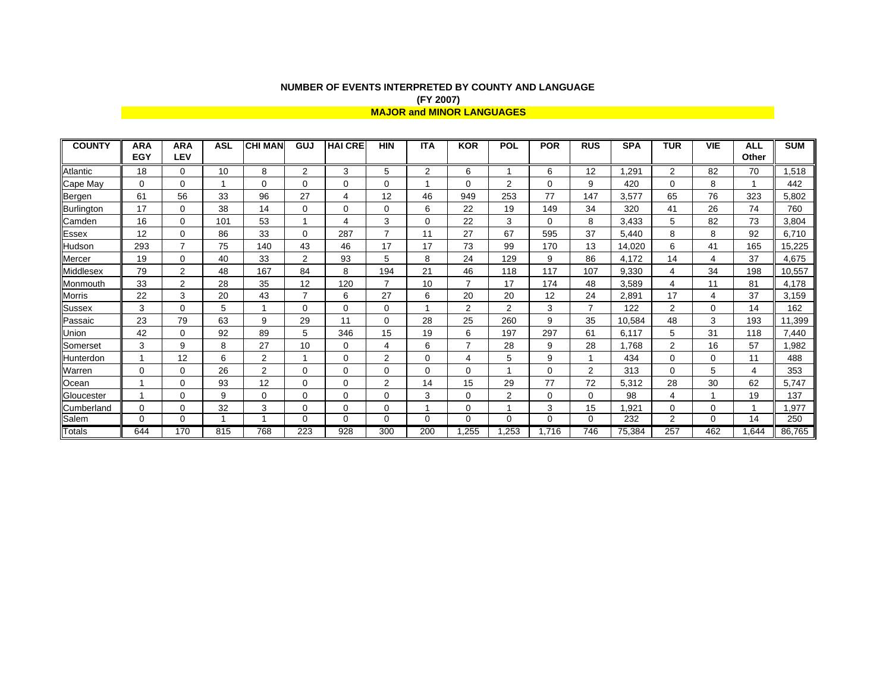## **NUMBER OF EVENTS INTERPRETED BY COUNTY AND LANGUAGE (FY 2007) MAJOR and MINOR LANGUAGES**

| <b>COUNTY</b> | <b>ARA</b> | <b>ARA</b>     | <b>ASL</b> | <b>CHI MAN</b> | GUJ            | <b>HAI CRE</b> | <b>HIN</b>     | <b>ITA</b>  | <b>KOR</b>     | <b>POL</b>     | <b>POR</b>  | <b>RUS</b>     | <b>SPA</b> | <b>TUR</b> | <b>VIE</b> | <b>ALL</b> | <b>SUM</b> |
|---------------|------------|----------------|------------|----------------|----------------|----------------|----------------|-------------|----------------|----------------|-------------|----------------|------------|------------|------------|------------|------------|
|               | <b>EGY</b> | LEV            |            |                |                |                |                |             |                |                |             |                |            |            |            | Other      |            |
| Atlantic      | 18         | 0              | 10         | 8              | $\overline{2}$ | 3              | 5              | 2           | 6              |                | 6           | 12             | .291       | 2          | 82         | 70         | .518       |
| Cape May      | 0          | 0              |            | 0              | $\Omega$       | $\mathbf 0$    | $\mathbf 0$    |             | 0              | 2              | 0           | 9              | 420        | 0          | 8          |            | 442        |
| Bergen        | 61         | 56             | 33         | 96             | 27             | 4              | 12             | 46          | 949            | 253            | 77          | 147            | 3,577      | 65         | 76         | 323        | 5,802      |
| Burlington    | 17         | 0              | 38         | 14             | $\Omega$       | $\mathbf 0$    | $\mathbf 0$    | 6           | 22             | 19             | 149         | 34             | 320        | 41         | 26         | 74         | 760        |
| Camden        | 16         | 0              | 101        | 53             |                | $\overline{4}$ | 3              | 0           | 22             | 3              | $\Omega$    | 8              | 3,433      | 5          | 82         | 73         | 3,804      |
| Essex         | 12         | 0              | 86         | 33             | $\Omega$       | 287            | $\overline{7}$ | 11          | 27             | 67             | 595         | 37             | 5,440      | 8          | 8          | 92         | 6,710      |
| Hudson        | 293        | $\overline{7}$ | 75         | 140            | 43             | 46             | 17             | 17          | 73             | 99             | 170         | 13             | 14,020     | 6          | 41         | 165        | 15,225     |
| Mercer        | 19         | 0              | 40         | 33             | $\overline{2}$ | 93             | 5              | 8           | 24             | 129            | 9           | 86             | 4,172      | 14         | 4          | 37         | 4,675      |
| Middlesex     | 79         | 2              | 48         | 167            | 84             | 8              | 194            | 21          | 46             | 118            | 117         | 107            | 9,330      | 4          | 34         | 198        | 10,557     |
| Monmouth      | 33         | 2              | 28         | 35             | 12             | 120            | $\overline{7}$ | 10          | $\overline{7}$ | 17             | 174         | 48             | 3,589      | 4          | 11         | 81         | 4,178      |
| Morris        | 22         | 3              | 20         | 43             | $\overline{7}$ | 6              | 27             | 6           | 20             | 20             | 12          | 24             | 2,891      | 17         | 4          | 37         | 3,159      |
| <b>Sussex</b> | 3          | 0              | 5          |                | $\mathbf 0$    | 0              | $\mathbf 0$    |             | 2              | 2              | 3           | $\overline{7}$ | 122        | 2          | $\Omega$   | 14         | 162        |
| Passaic       | 23         | 79             | 63         | 9              | 29             | 11             | $\mathbf 0$    | 28          | 25             | 260            | 9           | 35             | 10,584     | 48         | 3          | 193        | 11,399     |
| Union         | 42         | 0              | 92         | 89             | 5              | 346            | 15             | 19          | 6              | 197            | 297         | 61             | 6.117      | 5          | 31         | 118        | 7,440      |
| Somerset      | 3          | 9              | 8          | 27             | 10             | 0              | 4              | 6           | $\overline{7}$ | 28             | 9           | 28             | .768       | 2          | 16         | 57         | 1,982      |
| Hunterdon     |            | 12             | 6          | $\overline{2}$ |                | 0              | 2              | 0           | 4              | 5              | 9           |                | 434        | 0          | 0          | 11         | 488        |
| Warren        | $\Omega$   | 0              | 26         | $\overline{2}$ | $\mathbf 0$    | 0              | 0              | 0           | 0              |                | 0           | $\overline{2}$ | 313        | 0          | 5          | 4          | 353        |
| Ocean         |            | 0              | 93         | 12             | $\mathbf 0$    | $\mathbf 0$    | $\overline{2}$ | 14          | 15             | 29             | 77          | 72             | 5,312      | 28         | 30         | 62         | 5,747      |
| Gloucester    |            | 0              | 9          | $\Omega$       | $\Omega$       | $\Omega$       | $\mathbf 0$    | 3           | $\Omega$       | $\overline{2}$ | 0           | $\Omega$       | 98         | 4          |            | 19         | 137        |
| Cumberland    | 0          | 0              | 32         | 3              | $\mathbf 0$    | $\mathbf 0$    | $\mathbf 0$    |             | 0              |                | 3           | 15             | .921       | 0          | 0          |            | 1,977      |
| Salem         | $\Omega$   | 0              |            |                | $\Omega$       | $\mathbf 0$    | $\mathbf 0$    | $\mathbf 0$ | 0              | $\Omega$       | $\mathbf 0$ | $\mathbf 0$    | 232        | 2          | $\Omega$   | 14         | 250        |
| <b>Totals</b> | 644        | 170            | 815        | 768            | 223            | 928            | 300            | 200         | .255           | ,253           | 1,716       | 746            | 75,384     | 257        | 462        | 1,644      | 86,765     |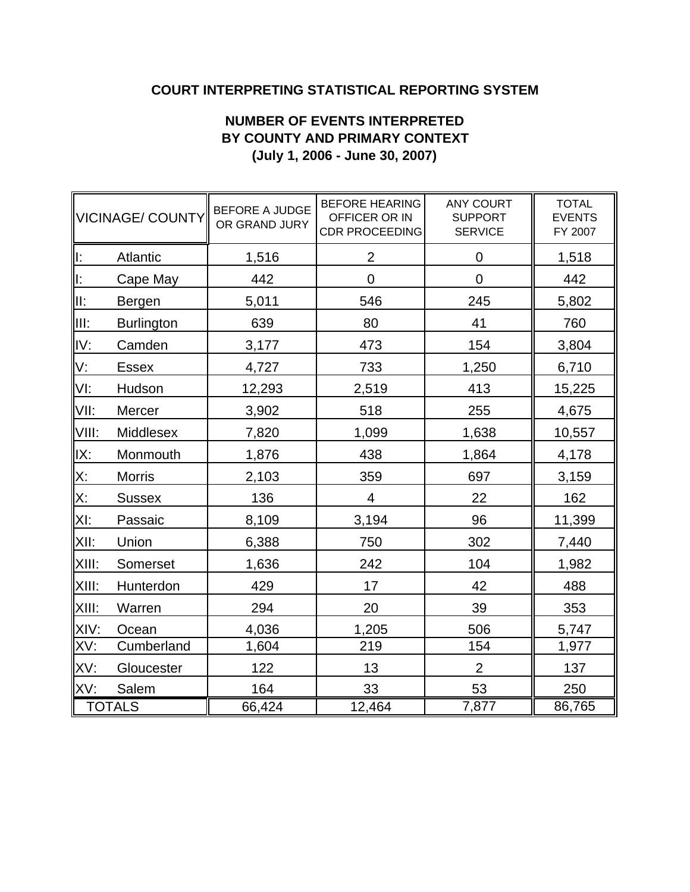## **COURT INTERPRETING STATISTICAL REPORTING SYSTEM**

## **NUMBER OF EVENTS INTERPRETED BY COUNTY AND PRIMARY CONTEXT (July 1, 2006 - June 30, 2007)**

|            | VICINAGE/ COUNTY  | <b>BEFORE A JUDGE</b><br>OR GRAND JURY | <b>BEFORE HEARING</b><br>OFFICER OR IN<br><b>CDR PROCEEDING</b> | <b>ANY COURT</b><br><b>SUPPORT</b><br><b>SERVICE</b> | <b>TOTAL</b><br><b>EVENTS</b><br>FY 2007 |
|------------|-------------------|----------------------------------------|-----------------------------------------------------------------|------------------------------------------------------|------------------------------------------|
| ll:        | Atlantic          | 1,516                                  | $\overline{2}$                                                  | 0                                                    | 1,518                                    |
| <u>ll:</u> | Cape May          | 442                                    | 0                                                               | $\mathbf 0$                                          | 442                                      |
| lli:       | Bergen            | 5,011                                  | 546                                                             | 245                                                  | 5,802                                    |
| IIII:      | <b>Burlington</b> | 639                                    | 80                                                              | 41                                                   | 760                                      |
| IV:        | Camden            | 3,177                                  | 473                                                             | 154                                                  | 3,804                                    |
| V:         | <b>Essex</b>      | 4,727                                  | 733                                                             | 1,250                                                | 6,710                                    |
| VI:        | Hudson            | 12,293                                 | 2,519                                                           | 413                                                  | 15,225                                   |
| VII:       | Mercer            | 3,902                                  | 518                                                             | 255                                                  | 4,675                                    |
| VIII:      | Middlesex         | 7,820                                  | 1,099                                                           | 1,638                                                | 10,557                                   |
| IX:        | Monmouth          | 1,876                                  | 438                                                             | 1,864                                                | 4,178                                    |
| X:         | <b>Morris</b>     | 2,103                                  | 359                                                             | 697                                                  | 3,159                                    |
| X:         | <b>Sussex</b>     | 136                                    | 4                                                               | 22                                                   | 162                                      |
| XI:        | Passaic           | 8,109                                  | 3,194                                                           | 96                                                   | 11,399                                   |
| XII:       | Union             | 6,388                                  | 750                                                             | 302                                                  | 7,440                                    |
| XIII:      | Somerset          | 1,636                                  | 242                                                             | 104                                                  | 1,982                                    |
| XIII:      | Hunterdon         | 429                                    | 17                                                              | 42                                                   | 488                                      |
| XIII:      | Warren            | 294                                    | 20                                                              | 39                                                   | 353                                      |
| XIV:       | Ocean             | 4,036                                  | 1,205                                                           | 506                                                  | 5,747                                    |
| XV:        | Cumberland        | 1,604                                  | 219                                                             | 154                                                  | 1,977                                    |
| XV:        | Gloucester        | 122                                    | 13                                                              | $\overline{2}$                                       | 137                                      |
| XV:        | Salem             | 164                                    | 33                                                              | 53                                                   | 250                                      |
| TOTALS     |                   | 66,424                                 | 12,464                                                          | 7,877                                                | 86,765                                   |